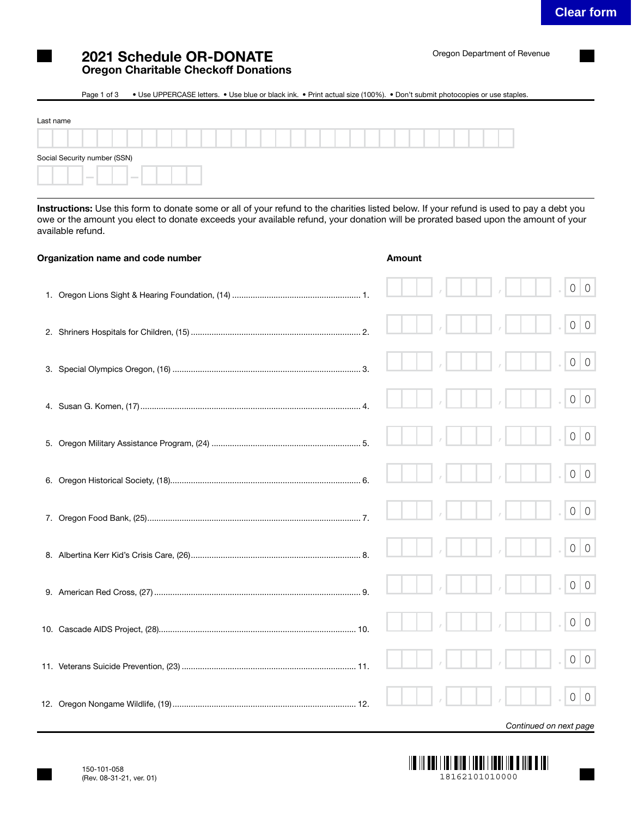## 2021 Schedule OR-DONATE Oregon Charitable Checkoff Donations

## Page 1 of 3 • Use UPPERCASE letters. • Use blue or black ink. • Print actual size (100%). • Don't submit photocopies or use staples.

| Last name                                            |  |  |  |
|------------------------------------------------------|--|--|--|
|                                                      |  |  |  |
| Social Security number (SSN)                         |  |  |  |
| <b>Contract Contract</b><br><b>Contract Contract</b> |  |  |  |

Instructions: Use this form to donate some or all of your refund to the charities listed below. If your refund is used to pay a debt you owe or the amount you elect to donate exceeds your available refund, your donation will be prorated based upon the amount of your available refund.

| Organization name and code number | Amount |                           |
|-----------------------------------|--------|---------------------------|
|                                   |        | $\circ$<br>$\overline{0}$ |
|                                   |        | $\circ$<br>$\circ$        |
|                                   |        | $\overline{0}$<br>$\circ$ |
|                                   |        | $\overline{0}$<br>$\circ$ |
|                                   |        | $\circ$<br>$\overline{0}$ |
|                                   |        | $\overline{0}$<br>$\circ$ |
|                                   |        | $\overline{0}$<br>$\circ$ |
|                                   |        | $\overline{0}$<br>$\circ$ |
|                                   |        | $\overline{0}$<br>$\circ$ |
|                                   |        | $\overline{0}$<br>$\circ$ |
|                                   |        | $\circ$<br>$\overline{0}$ |
|                                   |        | 0<br>$\overline{0}$       |
|                                   |        |                           |

*Continued on next page*

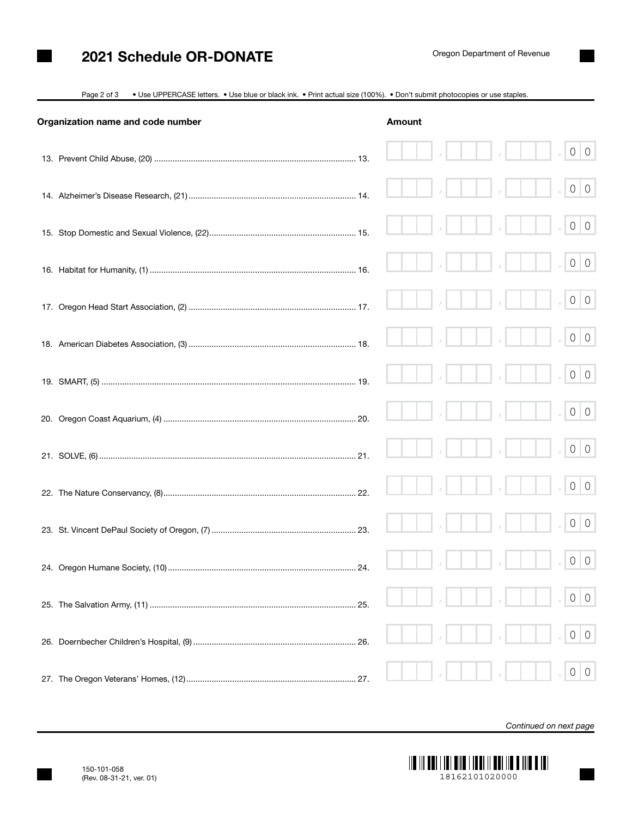## 2021 Schedule OR-DONATE

|  |  | Page 2 of 3 • Use UPPERCASE letters. • Use blue or black ink. • Print actual size (100%). • Don't submit photocopies or use staples. |
|--|--|--------------------------------------------------------------------------------------------------------------------------------------|
|  |  |                                                                                                                                      |

| Organization name and code number | <b>Amount</b> |  |                                  |
|-----------------------------------|---------------|--|----------------------------------|
|                                   |               |  | $0 \mid 0$                       |
|                                   |               |  | $0 \mid 0$                       |
|                                   |               |  | $0 \mid 0$                       |
|                                   |               |  | $0 \mid 0$                       |
|                                   |               |  | $0 \mid 0$                       |
|                                   |               |  | $0 \mid 0$                       |
|                                   |               |  | $0 \mid 0$                       |
|                                   |               |  | $0 \mid 0$                       |
|                                   |               |  | $0 \mid 0$                       |
|                                   |               |  | $0 \mid 0$                       |
|                                   |               |  | $0 \mid 0$                       |
|                                   |               |  | $0 \mid 0$                       |
|                                   |               |  | $\circ$<br>$\overline{0}$        |
|                                   |               |  | $\overline{0}$<br>$\circ$        |
|                                   |               |  | $\overline{0}$<br>$\overline{0}$ |

*Continued on next page*